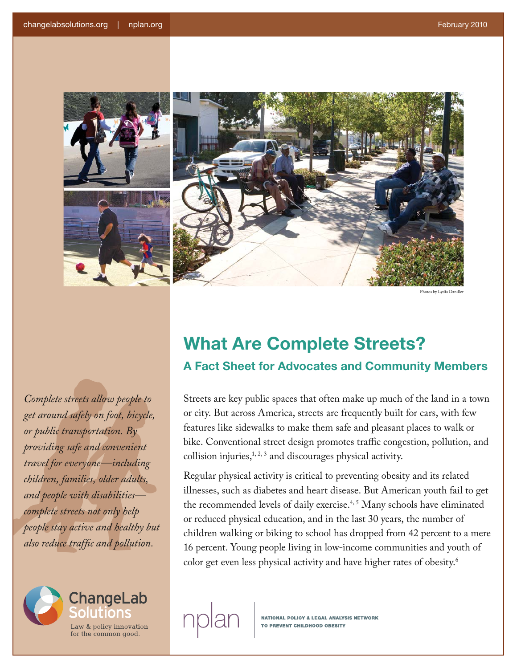

by Lydia Danill

*Complete streets allow people to get around safely on foot, bicycle, or public transportation. By providing safe and convenient travel for everyone—including children, families, older adults, and people with disabilities complete streets not only help people stay active and healthy but also reduce traffic and pollution.* 



## **What Are Complete Streets? A Fact Sheet for Advocates and Community Members**

Streets are key public spaces that often make up much of the land in a town or city. But across America, streets are frequently built for cars, with few features like sidewalks to make them safe and pleasant places to walk or bike. Conventional street design promotes traffic congestion, pollution, and collision injuries,<sup>1, 2, 3</sup> and discourages physical activity.

Regular physical activity is critical to preventing obesity and its related illnesses, such as diabetes and heart disease. But American youth fail to get the recommended levels of daily exercise.<sup>4, 5</sup> Many schools have eliminated or reduced physical education, and in the last 30 years, the number of children walking or biking to school has dropped from 42 percent to a mere 16 percent. Young people living in low-income communities and youth of color get even less physical activity and have higher rates of obesity.<sup>6</sup>

**NATIONAL POLICY & LEGAL ANALYSIS NETWORK**